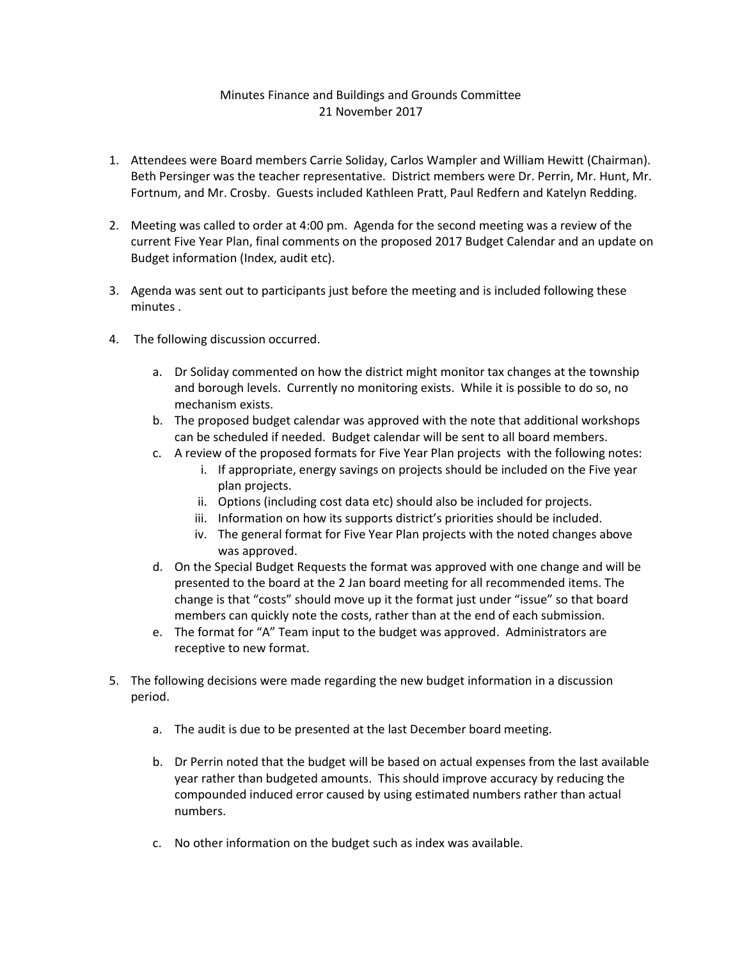## Minutes Finance and Buildings and Grounds Committee 21 November 2017

- 1. Attendees were Board members Carrie Soliday, Carlos Wampler and William Hewitt (Chairman). Beth Persinger was the teacher representative. District members were Dr. Perrin, Mr. Hunt, Mr. Fortnum, and Mr. Crosby. Guests included Kathleen Pratt, Paul Redfern and Katelyn Redding.
- 2. Meeting was called to order at 4:00 pm. Agenda for the second meeting was a review of the current Five Year Plan, final comments on the proposed 2017 Budget Calendar and an update on Budget information (Index, audit etc).
- 3. Agenda was sent out to participants just before the meeting and is included following these minutes .
- 4. The following discussion occurred.
	- a. Dr Soliday commented on how the district might monitor tax changes at the township and borough levels. Currently no monitoring exists. While it is possible to do so, no mechanism exists.
	- b. The proposed budget calendar was approved with the note that additional workshops can be scheduled if needed. Budget calendar will be sent to all board members.
	- c. A review of the proposed formats for Five Year Plan projects with the following notes:
		- i. If appropriate, energy savings on projects should be included on the Five year plan projects.
		- ii. Options (including cost data etc) should also be included for projects.
		- iii. Information on how its supports district's priorities should be included.
		- iv. The general format for Five Year Plan projects with the noted changes above was approved.
	- d. On the Special Budget Requests the format was approved with one change and will be presented to the board at the 2 Jan board meeting for all recommended items. The change is that "costs" should move up it the format just under "issue" so that board members can quickly note the costs, rather than at the end of each submission.
	- e. The format for "A" Team input to the budget was approved. Administrators are receptive to new format.
- 5. The following decisions were made regarding the new budget information in a discussion period.
	- a. The audit is due to be presented at the last December board meeting.
	- b. Dr Perrin noted that the budget will be based on actual expenses from the last available year rather than budgeted amounts. This should improve accuracy by reducing the compounded induced error caused by using estimated numbers rather than actual numbers.
	- c. No other information on the budget such as index was available.